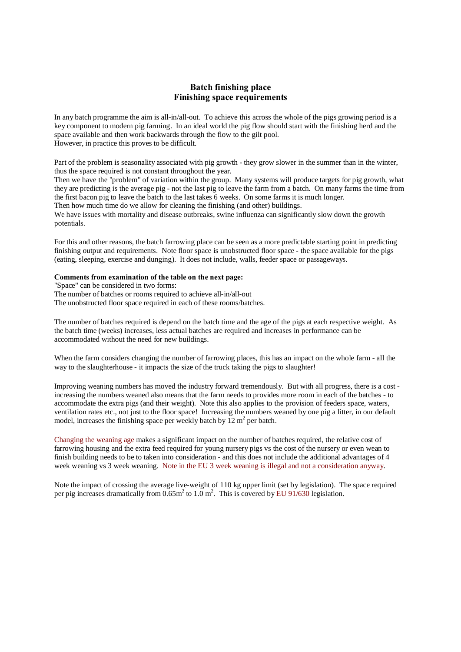## **Batch finishing place Finishing space requirements**

In any batch programme the aim is all-in/all-out. To achieve this across the whole of the pigs growing period is a key component to modern pig farming. In an ideal world the pig flow should start with the finishing herd and the space available and then work backwards through the flow to the gilt pool. However, in practice this proves to be difficult.

Part of the problem is seasonality associated with pig growth - they grow slower in the summer than in the winter, thus the space required is not constant throughout the year.

Then we have the "problem" of variation within the group. Many systems will produce targets for pig growth, what they are predicting is the average pig - not the last pig to leave the farm from a batch. On many farms the time from the first bacon pig to leave the batch to the last takes 6 weeks. On some farms it is much longer.

Then how much time do we allow for cleaning the finishing (and other) buildings.

We have issues with mortality and disease outbreaks, swine influenza can significantly slow down the growth potentials.

For this and other reasons, the batch farrowing place can be seen as a more predictable starting point in predicting finishing output and requirements. Note floor space is unobstructed floor space - the space available for the pigs (eating, sleeping, exercise and dunging). It does not include, walls, feeder space or passageways.

## **Comments from examination of the table on the next page:**

"Space" can be considered in two forms:

The number of batches or rooms required to achieve all-in/all-out

The unobstructed floor space required in each of these rooms/batches.

The number of batches required is depend on the batch time and the age of the pigs at each respective weight. As the batch time (weeks) increases, less actual batches are required and increases in performance can be accommodated without the need for new buildings.

When the farm considers changing the number of farrowing places, this has an impact on the whole farm - all the way to the slaughterhouse - it impacts the size of the truck taking the pigs to slaughter!

Improving weaning numbers has moved the industry forward tremendously. But with all progress, there is a cost increasing the numbers weaned also means that the farm needs to provides more room in each of the batches - to accommodate the extra pigs (and their weight). Note this also applies to the provision of feeders space, waters, ventilation rates etc., not just to the floor space! Increasing the numbers weaned by one pig a litter, in our default model, increases the finishing space per weekly batch by  $12 \text{ m}^2$  per batch.

Changing the weaning age makes a significant impact on the number of batches required, the relative cost of farrowing housing and the extra feed required for young nursery pigs vs the cost of the nursery or even wean to finish building needs to be to taken into consideration - and this does not include the additional advantages of 4 week weaning vs 3 week weaning. Note in the EU 3 week weaning is illegal and not a consideration anyway.

Note the impact of crossing the average live-weight of 110 kg upper limit (set by legislation). The space required per pig increases dramatically from  $0.65 \text{m}^2$  to  $1.0 \text{ m}^2$ . This is covered by EU 91/630 legislation.